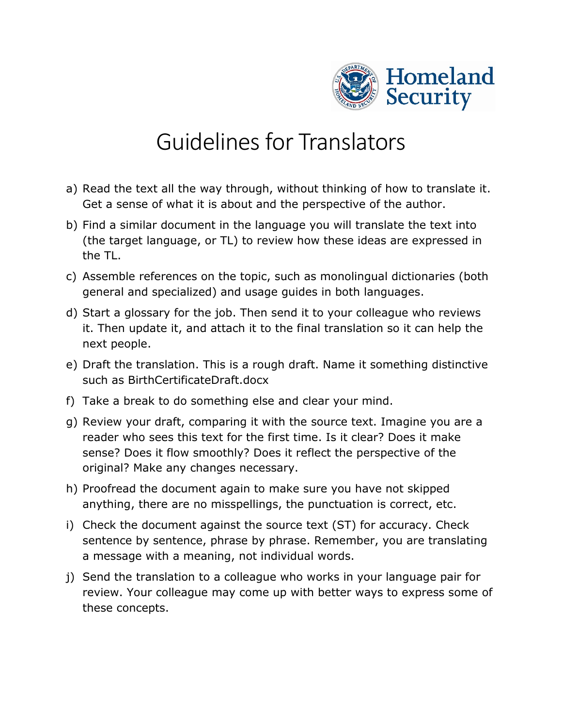

## Guidelines for Translators

- a) Read the text all the way through, without thinking of how to translate it. Get a sense of what it is about and the perspective of the author.
- b) Find a similar document in the language you will translate the text into (the target language, or TL) to review how these ideas are expressed in the TL.
- c) Assemble references on the topic, such as monolingual dictionaries (both general and specialized) and usage guides in both languages.
- d) Start a glossary for the job. Then send it to your colleague who reviews it. Then update it, and attach it to the final translation so it can help the next people.
- e) Draft the translation. This is a rough draft. Name it something distinctive such as BirthCertificateDraft.docx
- f) Take a break to do something else and clear your mind.
- g) Review your draft, comparing it with the source text. Imagine you are a reader who sees this text for the first time. Is it clear? Does it make sense? Does it flow smoothly? Does it reflect the perspective of the original? Make any changes necessary.
- h) Proofread the document again to make sure you have not skipped anything, there are no misspellings, the punctuation is correct, etc.
- i) Check the document against the source text (ST) for accuracy. Check sentence by sentence, phrase by phrase. Remember, you are translating a message with a meaning, not individual words.
- j) Send the translation to a colleague who works in your language pair for review. Your colleague may come up with better ways to express some of these concepts.